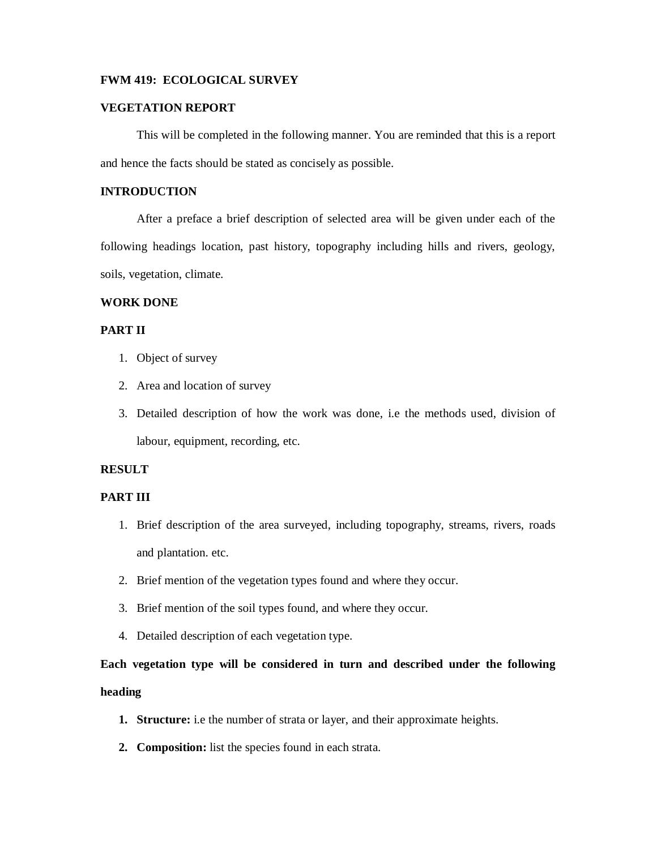### **FWM 419: ECOLOGICAL SURVEY**

### **VEGETATION REPORT**

This will be completed in the following manner. You are reminded that this is a report and hence the facts should be stated as concisely as possible.

# **INTRODUCTION**

After a preface a brief description of selected area will be given under each of the following headings location, past history, topography including hills and rivers, geology, soils, vegetation, climate.

## **WORK DONE**

# **PART II**

- 1. Object of survey
- 2. Area and location of survey
- 3. Detailed description of how the work was done, i.e the methods used, division of labour, equipment, recording, etc.

### **RESULT**

### **PART III**

- 1. Brief description of the area surveyed, including topography, streams, rivers, roads and plantation. etc.
- 2. Brief mention of the vegetation types found and where they occur.
- 3. Brief mention of the soil types found, and where they occur.
- 4. Detailed description of each vegetation type.

# **Each vegetation type will be considered in turn and described under the following heading**

- **1. Structure:** i.e the number of strata or layer, and their approximate heights.
- **2. Composition:** list the species found in each strata.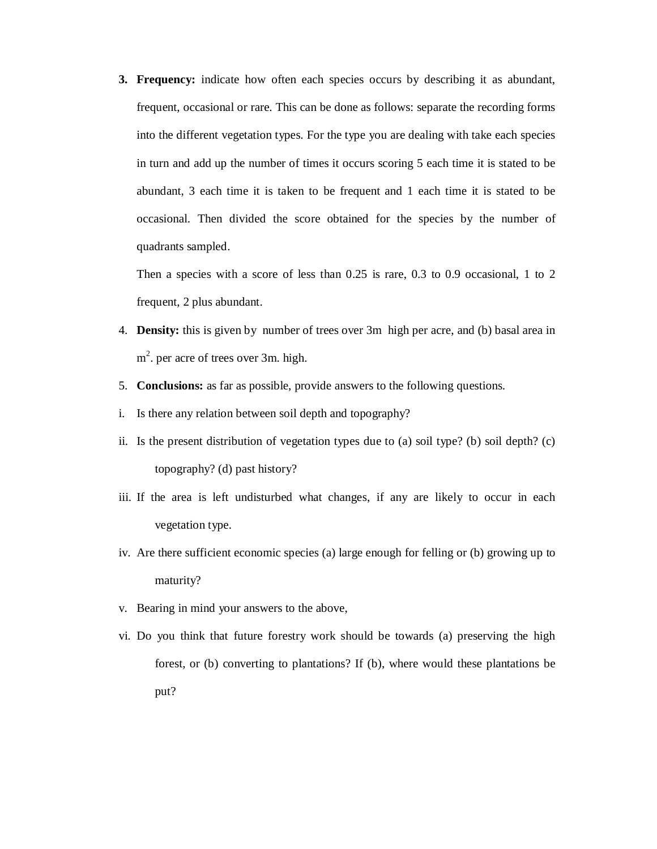**3. Frequency:** indicate how often each species occurs by describing it as abundant, frequent, occasional or rare. This can be done as follows: separate the recording forms into the different vegetation types. For the type you are dealing with take each species in turn and add up the number of times it occurs scoring 5 each time it is stated to be abundant, 3 each time it is taken to be frequent and 1 each time it is stated to be occasional. Then divided the score obtained for the species by the number of quadrants sampled.

Then a species with a score of less than 0.25 is rare, 0.3 to 0.9 occasional, 1 to 2 frequent, 2 plus abundant.

- 4. **Density:** this is given by number of trees over 3m high per acre, and (b) basal area in m<sup>2</sup>. per acre of trees over 3m. high.
- 5. **Conclusions:** as far as possible, provide answers to the following questions.
- i. Is there any relation between soil depth and topography?
- ii. Is the present distribution of vegetation types due to (a) soil type? (b) soil depth? (c) topography? (d) past history?
- iii. If the area is left undisturbed what changes, if any are likely to occur in each vegetation type.
- iv. Are there sufficient economic species (a) large enough for felling or (b) growing up to maturity?
- v. Bearing in mind your answers to the above,
- vi. Do you think that future forestry work should be towards (a) preserving the high forest, or (b) converting to plantations? If (b), where would these plantations be put?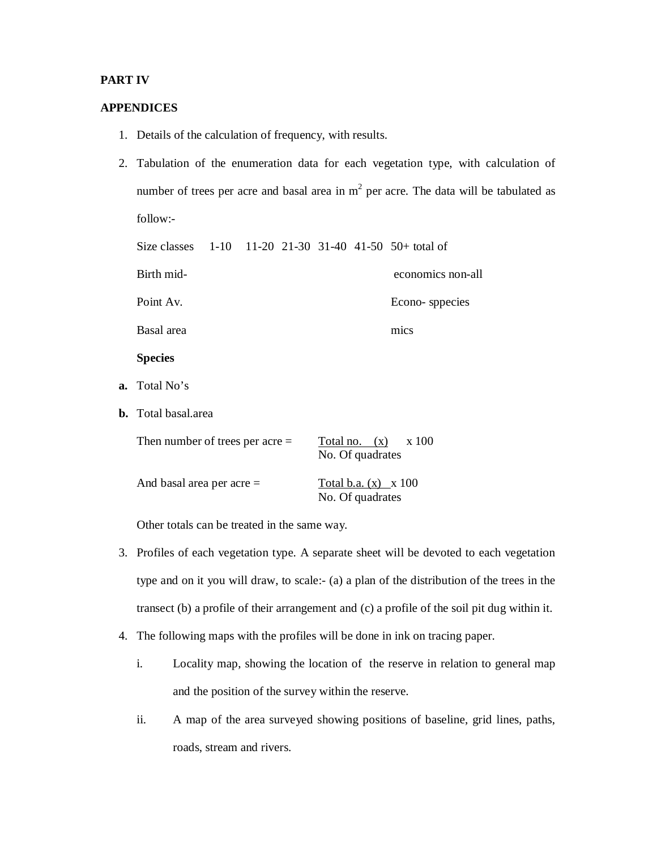## **PART IV**

### **APPENDICES**

- 1. Details of the calculation of frequency, with results.
- 2. Tabulation of the enumeration data for each vegetation type, with calculation of number of trees per acre and basal area in  $m<sup>2</sup>$  per acre. The data will be tabulated as follow:-

Size classes 1-10 11-20 21-30 31-40 41-50 50+ total of Birth mid- economics non-all Point Av. Econo- sppecies Basal area mics **Species a.** Total No's **b.** Total basal.area Then number of trees per acre =  $\frac{\text{Total no.}(\text{x})}{\text{x}} = \frac{\text{x}}{100}$ No. Of quadrates

| And basal area per acre $=$ | Total b.a. $(x) \times 100$ |
|-----------------------------|-----------------------------|
|                             | No. Of quadrates            |

Other totals can be treated in the same way.

- 3. Profiles of each vegetation type. A separate sheet will be devoted to each vegetation type and on it you will draw, to scale:- (a) a plan of the distribution of the trees in the transect (b) a profile of their arrangement and (c) a profile of the soil pit dug within it.
- 4. The following maps with the profiles will be done in ink on tracing paper.
	- i. Locality map, showing the location of the reserve in relation to general map and the position of the survey within the reserve.
	- ii. A map of the area surveyed showing positions of baseline, grid lines, paths, roads, stream and rivers.